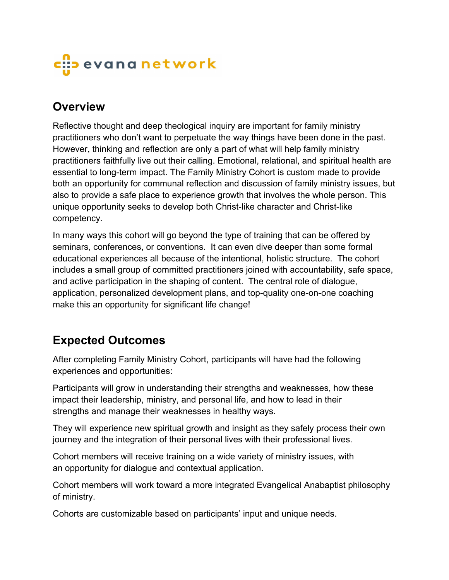# c::<mark>:</mark>> evana network

### **Overview**

Reflective thought and deep theological inquiry are important for family ministry practitioners who don't want to perpetuate the way things have been done in the past. However, thinking and reflection are only a part of what will help family ministry practitioners faithfully live out their calling. Emotional, relational, and spiritual health are essential to long-term impact. The Family Ministry Cohort is custom made to provide both an opportunity for communal reflection and discussion of family ministry issues, but also to provide a safe place to experience growth that involves the whole person. This unique opportunity seeks to develop both Christ-like character and Christ-like competency.

In many ways this cohort will go beyond the type of training that can be offered by seminars, conferences, or conventions. It can even dive deeper than some formal educational experiences all because of the intentional, holistic structure. The cohort includes a small group of committed practitioners joined with accountability, safe space, and active participation in the shaping of content. The central role of dialogue, application, personalized development plans, and top-quality one-on-one coaching make this an opportunity for significant life change!

## **Expected Outcomes**

After completing Family Ministry Cohort, participants will have had the following experiences and opportunities:

Participants will grow in understanding their strengths and weaknesses, how these impact their leadership, ministry, and personal life, and how to lead in their strengths and manage their weaknesses in healthy ways.

They will experience new spiritual growth and insight as they safely process their own journey and the integration of their personal lives with their professional lives.

Cohort members will receive training on a wide variety of ministry issues, with an opportunity for dialogue and contextual application.

Cohort members will work toward a more integrated Evangelical Anabaptist philosophy of ministry.

Cohorts are customizable based on participants' input and unique needs.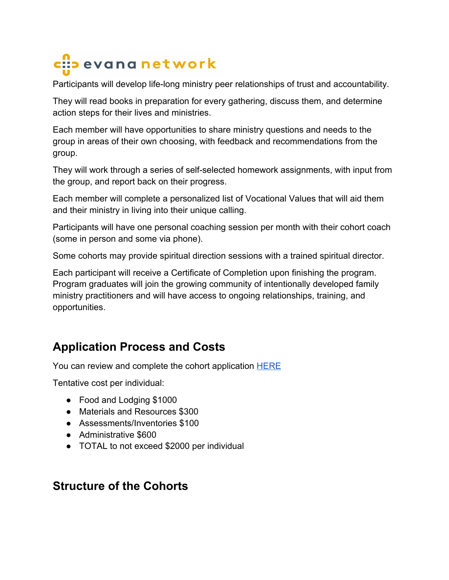# c::: evana network

Participants will develop life-long ministry peer relationships of trust and accountability.

They will read books in preparation for every gathering, discuss them, and determine action steps for their lives and ministries.

Each member will have opportunities to share ministry questions and needs to the group in areas of their own choosing, with feedback and recommendations from the group.

They will work through a series of self-selected homework assignments, with input from the group, and report back on their progress.

Each member will complete a personalized list of Vocational Values that will aid them and their ministry in living into their unique calling.

Participants will have one personal coaching session per month with their cohort coach (some in person and some via phone).

Some cohorts may provide spiritual direction sessions with a trained spiritual director.

Each participant will receive a Certificate of Completion upon finishing the program. Program graduates will join the growing community of intentionally developed family ministry practitioners and will have access to ongoing relationships, training, and opportunities.

## **Application Process and Costs**

You can review and complete the cohort application **[HERE](https://docs.google.com/forms/d/1MIZeCGZS83IQZcv5sqczTcK7ojPoemYGBWUky_tKdj0/prefill)** 

Tentative cost per individual:

- Food and Lodging \$1000
- Materials and Resources \$300
- Assessments/Inventories \$100
- Administrative \$600
- TOTAL to not exceed \$2000 per individual

### **Structure of the Cohorts**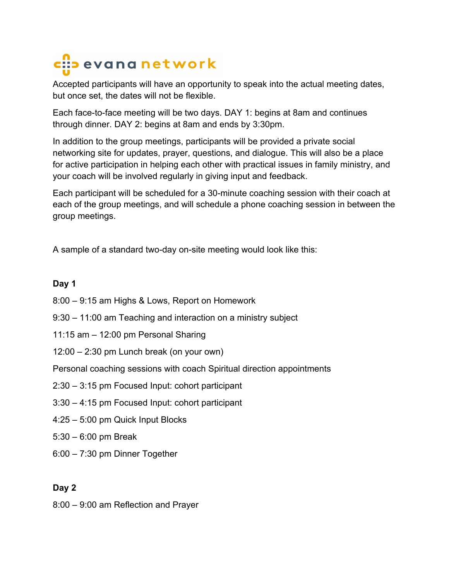# c::: evana network

Accepted participants will have an opportunity to speak into the actual meeting dates, but once set, the dates will not be flexible.

Each face-to-face meeting will be two days. DAY 1: begins at 8am and continues through dinner. DAY 2: begins at 8am and ends by 3:30pm.

In addition to the group meetings, participants will be provided a private social networking site for updates, prayer, questions, and dialogue. This will also be a place for active participation in helping each other with practical issues in family ministry, and your coach will be involved regularly in giving input and feedback.

Each participant will be scheduled for a 30-minute coaching session with their coach at each of the group meetings, and will schedule a phone coaching session in between the group meetings.

A sample of a standard two-day on-site meeting would look like this:

### **Day 1**

- 8:00 9:15 am Highs & Lows, Report on Homework
- 9:30 11:00 am Teaching and interaction on a ministry subject
- 11:15 am 12:00 pm Personal Sharing
- 12:00 2:30 pm Lunch break (on your own)

Personal coaching sessions with coach Spiritual direction appointments

- 2:30 3:15 pm Focused Input: cohort participant
- 3:30 4:15 pm Focused Input: cohort participant
- 4:25 5:00 pm Quick Input Blocks
- 5:30 6:00 pm Break
- 6:00 7:30 pm Dinner Together

### **Day 2**

8:00 – 9:00 am Reflection and Prayer